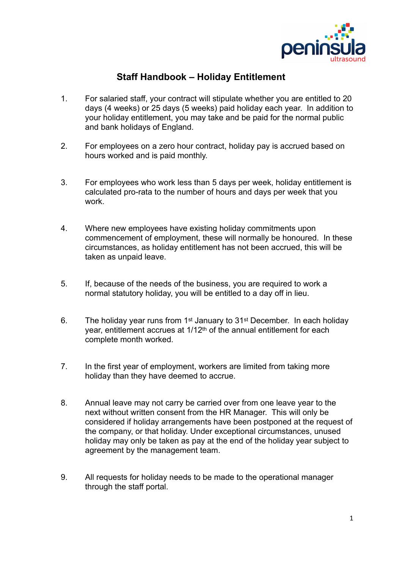

## **Staff Handbook – Holiday Entitlement**

- 1. For salaried staff, your contract will stipulate whether you are entitled to 20 days (4 weeks) or 25 days (5 weeks) paid holiday each year. In addition to your holiday entitlement, you may take and be paid for the normal public and bank holidays of England.
- 2. For employees on a zero hour contract, holiday pay is accrued based on hours worked and is paid monthly.
- 3. For employees who work less than 5 days per week, holiday entitlement is calculated pro-rata to the number of hours and days per week that you work.
- 4. Where new employees have existing holiday commitments upon commencement of employment, these will normally be honoured. In these circumstances, as holiday entitlement has not been accrued, this will be taken as unpaid leave.
- 5. If, because of the needs of the business, you are required to work a normal statutory holiday, you will be entitled to a day off in lieu.
- 6. The holiday year runs from 1st January to 31st December. In each holiday year, entitlement accrues at 1/12<sup>th</sup> of the annual entitlement for each complete month worked.
- 7. In the first year of employment, workers are limited from taking more holiday than they have deemed to accrue.
- 8. Annual leave may not carry be carried over from one leave year to the next without written consent from the HR Manager. This will only be considered if holiday arrangements have been postponed at the request of the company, or that holiday. Under exceptional circumstances, unused holiday may only be taken as pay at the end of the holiday year subject to agreement by the management team.
- 9. All requests for holiday needs to be made to the operational manager through the staff portal.